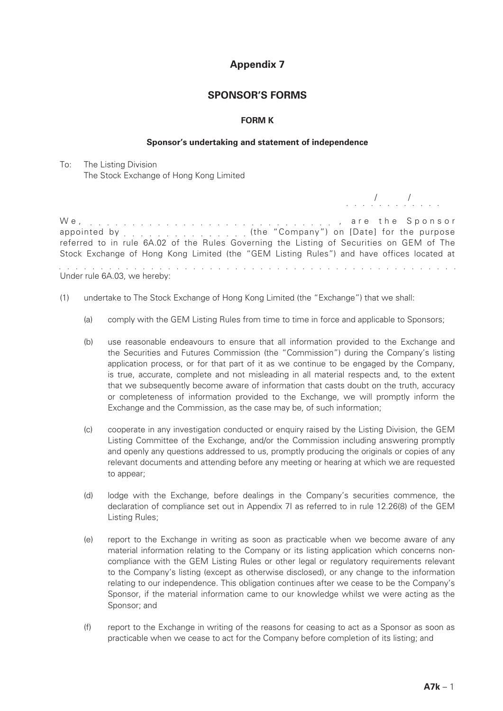# **Appendix 7**

## **SPONSOR'S FORMS**

### **FORM K**

#### **Sponsor's undertaking and statement of independence**

To: The Listing Division The Stock Exchange of Hong Kong Limited

We, , a r e t h e S p o n s o r appointed by entercated by a settimate the "Company") on [Date] for the purpose referred to in rule 6A.02 of the Rules Governing the Listing of Securities on GEM of The Stock Exchange of Hong Kong Limited (the "GEM Listing Rules") and have offices located at Under rule 6A.03, we hereby:

- (1) undertake to The Stock Exchange of Hong Kong Limited (the "Exchange") that we shall:
	- (a) comply with the GEM Listing Rules from time to time in force and applicable to Sponsors;
	- (b) use reasonable endeavours to ensure that all information provided to the Exchange and the Securities and Futures Commission (the "Commission") during the Company's listing application process, or for that part of it as we continue to be engaged by the Company, is true, accurate, complete and not misleading in all material respects and, to the extent that we subsequently become aware of information that casts doubt on the truth, accuracy or completeness of information provided to the Exchange, we will promptly inform the Exchange and the Commission, as the case may be, of such information;
	- (c) cooperate in any investigation conducted or enquiry raised by the Listing Division, the GEM Listing Committee of the Exchange, and/or the Commission including answering promptly and openly any questions addressed to us, promptly producing the originals or copies of any relevant documents and attending before any meeting or hearing at which we are requested to appear;
	- (d) lodge with the Exchange, before dealings in the Company's securities commence, the declaration of compliance set out in Appendix 7I as referred to in rule 12.26(8) of the GEM Listing Rules;
	- (e) report to the Exchange in writing as soon as practicable when we become aware of any material information relating to the Company or its listing application which concerns noncompliance with the GEM Listing Rules or other legal or regulatory requirements relevant to the Company's listing (except as otherwise disclosed), or any change to the information relating to our independence. This obligation continues after we cease to be the Company's Sponsor, if the material information came to our knowledge whilst we were acting as the Sponsor; and
	- (f) report to the Exchange in writing of the reasons for ceasing to act as a Sponsor as soon as practicable when we cease to act for the Company before completion of its listing; and

/ /